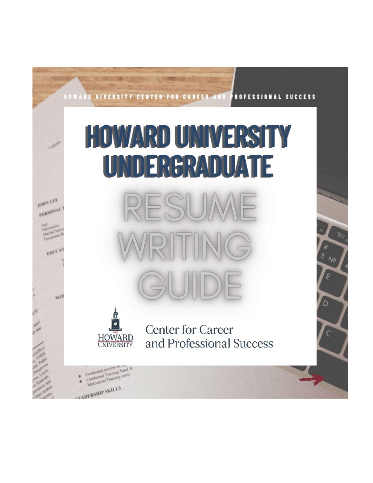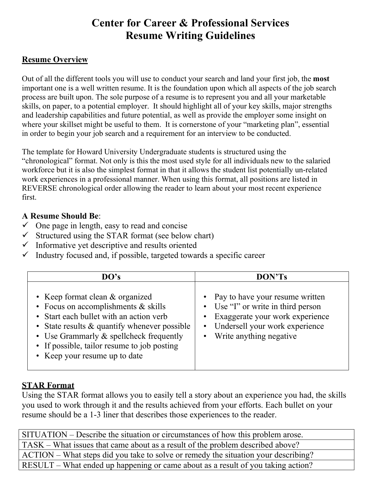# **Center for Career & Professional Services Resume Writing Guidelines**

# **Resume Overview**

Out of all the different tools you will use to conduct your search and land your first job, the **most** important one is a well written resume. It is the foundation upon which all aspects of the job search process are built upon. The sole purpose of a resume is to represent you and all your marketable skills, on paper, to a potential employer. It should highlight all of your key skills, major strengths and leadership capabilities and future potential, as well as provide the employer some insight on where your skillset might be useful to them. It is cornerstone of your "marketing plan", essential in order to begin your job search and a requirement for an interview to be conducted.

The template for Howard University Undergraduate students is structured using the "chronological" format. Not only is this the most used style for all individuals new to the salaried workforce but it is also the simplest format in that it allows the student list potentially un-related work experiences in a professional manner. When using this format, all positions are listed in REVERSE chronological order allowing the reader to learn about your most recent experience first.

## **A Resume Should Be**:

- $\checkmark$  One page in length, easy to read and concise
- $\checkmark$  Structured using the STAR format (see below chart)
- $\checkmark$  Informative yet descriptive and results oriented
- $\checkmark$  Industry focused and, if possible, targeted towards a specific career

| DO's                                                                                                                                                                                                                                                                                           | DON'Ts                                                                                                                                                                        |  |  |  |
|------------------------------------------------------------------------------------------------------------------------------------------------------------------------------------------------------------------------------------------------------------------------------------------------|-------------------------------------------------------------------------------------------------------------------------------------------------------------------------------|--|--|--|
| • Keep format clean & organized<br>• Focus on accomplishments $&$ skills<br>• Start each bullet with an action verb<br>• State results & quantify whenever possible<br>• Use Grammarly & spellcheck frequently<br>• If possible, tailor resume to job posting<br>• Keep your resume up to date | • Pay to have your resume written<br>• Use "I" or write in third person<br>• Exaggerate your work experience<br>• Undersell your work experience<br>• Write anything negative |  |  |  |

## **STAR Format**

Using the STAR format allows you to easily tell a story about an experience you had, the skills you used to work through it and the results achieved from your efforts. Each bullet on your resume should be a 1-3 liner that describes those experiences to the reader.

| SITUATION – Describe the situation or circumstances of how this problem arose.     |  |  |
|------------------------------------------------------------------------------------|--|--|
| TASK – What issues that came about as a result of the problem described above?     |  |  |
| ACTION – What steps did you take to solve or remedy the situation your describing? |  |  |
| RESULT – What ended up happening or came about as a result of you taking action?   |  |  |
|                                                                                    |  |  |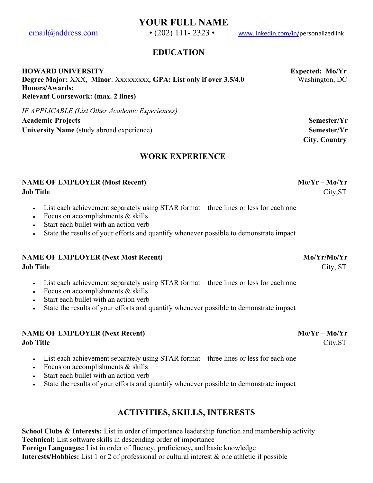**YOUR FULL NAME**

[email@address.com](mailto:email@address.com) • (202) 111-2323 • [www.linkedin.com/in/p](http://www.linkedin.com/in/)ersonalizedlink

## **EDUCATION**

#### **HOWARD UNIVERSITY Expected: Mo/Yr**

**Degree Major:** XXX, **Minor**: Xxxxxxxxx*,* **GPA: List only if over 3.5/4.0** Washington, DC **Honors/Awards: Relevant Coursework: (max. 2 lines)** 

*IF APPLICABLE (List Other Academic Experiences)* 

**Academic Projects Semester/Yr** University Name (study abroad experience) Semester/Yr

## **WORK EXPERIENCE**

#### **NAME OF EMPLOYER (Most Recent)** Mo/Yr – Mo/Yr – Mo/Yr **Job Title** City,ST

- List each achievement separately using STAR format three lines or less for each one
- Focus on accomplishments  $&$  skills
- Start each bullet with an action verb
- State the results of your efforts and quantify whenever possible to demonstrate impact

# **NAME OF EMPLOYER (Next Most Recent)** Mo/Yr/Mo/Yr

- List each achievement separately using STAR format three lines or less for each one
- Focus on accomplishments & skills
- Start each bullet with an action verb
- State the results of your efforts and quantify whenever possible to demonstrate impact

#### **NAME OF EMPLOYER (Next Recent)** Mo/Yr – Mo/Yr – Mo/Yr **Job Title** City,ST

- List each achievement separately using STAR format three lines or less for each one
- Focus on accomplishments & skills
- Start each bullet with an action verb
- State the results of your efforts and quantify whenever possible to demonstrate impact

## **ACTIVITIES, SKILLS, INTERESTS**

**School Clubs & Interests:** List in order of importance leadership function and membership activity **Technical:** List software skills in descending order of importance **Foreign Languages:** List in order of fluency, proficiency**,** and basic knowledge **Interests/Hobbies:** List 1 or 2 of professional or cultural interest & one athletic if possible

 **City, Country**

**Job Title** City, ST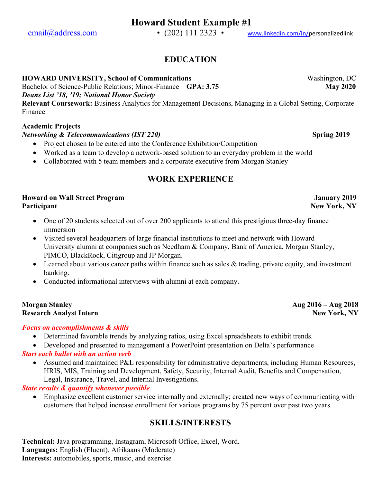[email@address.com](mailto:email@address.com) • (202) 111 2323 • [www.linkedin.com/in/p](http://www.linkedin.com/in/)ersonalizedlink

# **EDUCATION**

#### **HOWARD UNIVERSITY, School of Communications** Washington, DC

Bachelor of Science-Public Relations; Minor-Finance **GPA: 3.75 May 2020**

*Deans List '18, '19; National Honor Society*

**Relevant Coursework:** Business Analytics for Management Decisions, Managing in a Global Setting, Corporate Finance

## **Academic Projects**

#### *Networking & Telecommunications (IST 220)* Spring 2019

- Project chosen to be entered into the Conference Exhibition/Competition
- Worked as a team to develop a network-based solution to an everyday problem in the world
- Collaborated with 5 team members and a corporate executive from Morgan Stanley

# **WORK EXPERIENCE**

#### **Howard on Wall Street Program January 2019 Participant New York, NY**

- One of 20 students selected out of over 200 applicants to attend this prestigious three-day finance immersion
- Visited several headquarters of large financial institutions to meet and network with Howard University alumni at companies such as Needham & Company, Bank of America, Morgan Stanley, PIMCO, BlackRock, Citigroup and JP Morgan.
- Learned about various career paths within finance such as sales & trading, private equity, and investment banking.
- Conducted informational interviews with alumni at each company.

#### **Morgan Stanley Aug 2016 – Aug 2018 Research Analyst Intern New York, NY**

#### *Focus on accomplishments & skills*

- Determined favorable trends by analyzing ratios, using Excel spreadsheets to exhibit trends.
- Developed and presented to management a PowerPoint presentation on Delta's performance

## *Start each bullet with an action verb*

• Assumed and maintained P&L responsibility for administrative departments, including Human Resources, HRIS, MIS, Training and Development, Safety, Security, Internal Audit, Benefits and Compensation, Legal, Insurance, Travel, and Internal Investigations.

## *State results & quantify whenever possible*

• Emphasize excellent customer service internally and externally; created new ways of communicating with customers that helped increase enrollment for various programs by 75 percent over past two years.

## **SKILLS/INTERESTS**

**Technical:** Java programming, Instagram, Microsoft Office, Excel, Word. **Languages:** English (Fluent), Afrikaans (Moderate) **Interests:** automobiles, sports, music, and exercise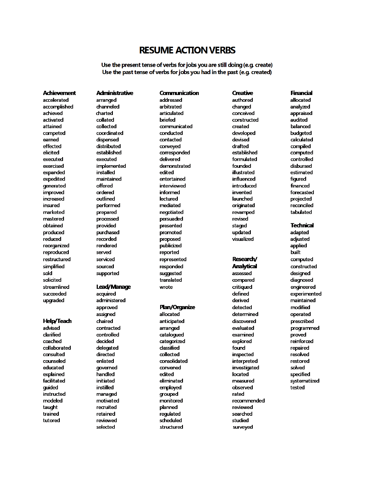## **RESUME ACTION VERBS**

Use the present tense of verbs for jobs you are still doing (e.g. create) Use the past tense of verbs for jobs you had in the past (e.g. created)

Communication

#### **Achievement**

accelerated accomplished achieved activated attained competed earned effected elicited executed exercised expanded expedited aenerated improved increased insured marketed mastered obtained produced reduced reorganized reproduced restructured simplified sold solicited streamlined succeeded upgraded

#### **Help/Teach**

advised clarified coached collaborated consulted counseled educated explained facilitated quided instructed modeled taught trained tutored

**Administrative** arranged channeled charted collated collected coordinated dispensed distributed established executed implemented installed maintained offered ordered outlined performed prepared processed provided purchased recorded rendered served serviced sourced supported

#### Lead/Manage

acquired administered approved assigned chaired contracted controlled decided delegated directed enlisted qoverned handled initiated instilled managed motivated recruited retained reviewed selected

addressed arbitrated articulated briefed communicated conducted contacted conveyed corresponded delivered demonstrated edited entertained interviewed informed lectured mediated negotiated persuaded presented promoted proposed publicized reported represented responded suggested translated wrote

#### Plan/Organize

allocated anticipated arranged catalogued categorized dassified collected consolidated convened edited eliminated employed grouped monitored planned regulated scheduled structured

authored changed conceived constructed created developed devised drafted established formulated founded illustrated influenced introduced invented launched originated revamped revised staged updated visualized

**Creative** 

#### Research/

**Analytical** assessed compared critiqued defined derived detected determined discovered evaluated examined explored found inspected interpreted investigated located measured observed rated recommended reviewed searched studied surveyed

#### **Financial**

allocated analyzed appraised audited balanced budgeted calculated compiled computed controlled disbursed estimated figured financed forecasted projected reconciled tabulated

**Technical** 

adapted adjusted applied built computed constructed designed diagnosed engineered experimented maintained modified operated prescribed programmed proved reinforced repaired resolved restored solved specified systematized tested